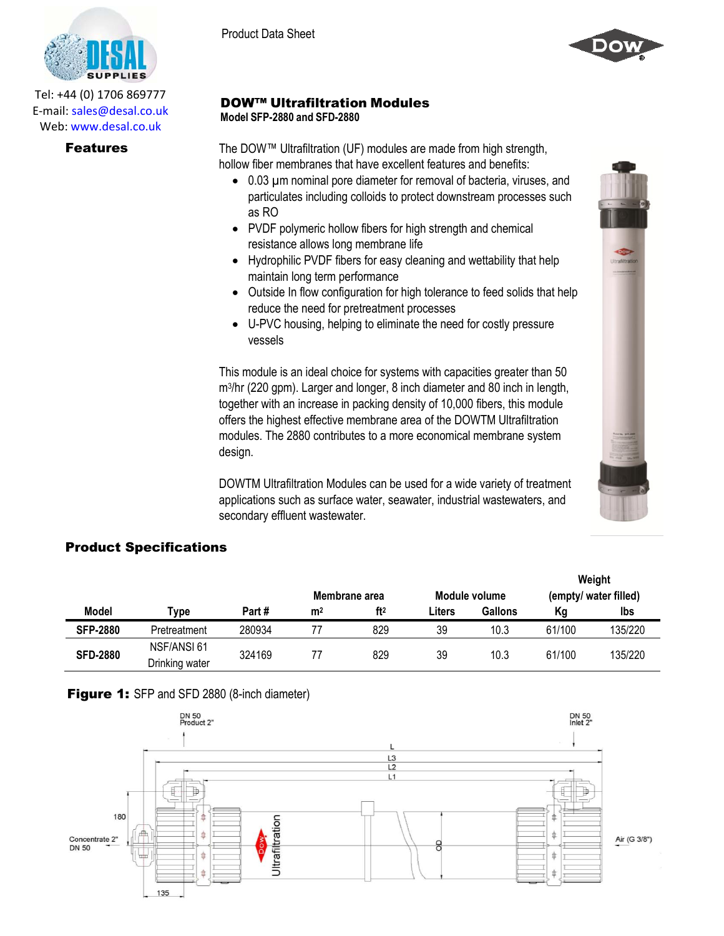

Tel: +44 (0) 1706 869777 E‐mail: sales@desal.co.uk Web: www.desal.co.uk



### DOW™ Ultrafiltration Modules **Model SFP-2880 and SFD-2880**

**Features** The DOW™ Ultrafiltration (UF) modules are made from high strength, hollow fiber membranes that have excellent features and benefits:

- 0.03 µm nominal pore diameter for removal of bacteria, viruses, and particulates including colloids to protect downstream processes such as RO
- PVDF polymeric hollow fibers for high strength and chemical resistance allows long membrane life
- Hydrophilic PVDF fibers for easy cleaning and wettability that help maintain long term performance
- Outside In flow configuration for high tolerance to feed solids that help reduce the need for pretreatment processes
- U-PVC housing, helping to eliminate the need for costly pressure vessels

This module is an ideal choice for systems with capacities greater than 50 m3 /hr (220 gpm). Larger and longer, 8 inch diameter and 80 inch in length, together with an increase in packing density of 10,000 fibers, this module offers the highest effective membrane area of the DOWTM Ultrafiltration modules. The 2880 contributes to a more economical membrane system design.

DOWTM Ultrafiltration Modules can be used for a wide variety of treatment applications such as surface water, seawater, industrial wastewaters, and secondary effluent wastewater.

## Product Specifications

|                 |                               |        |                |                 |        |                |        | Weight                |
|-----------------|-------------------------------|--------|----------------|-----------------|--------|----------------|--------|-----------------------|
|                 |                               |        |                | Membrane area   |        | Module volume  |        | (empty/ water filled) |
| Model           | Type                          | Part#  | m <sup>2</sup> | ft <sup>2</sup> | Liters | <b>Gallons</b> | Κg     | lbs                   |
| <b>SFP-2880</b> | Pretreatment                  | 280934 |                | 829             | 39     | 10.3           | 61/100 | 135/220               |
| <b>SFD-2880</b> | NSF/ANSI 61<br>Drinking water | 324169 |                | 829             | 39     | 10.3           | 61/100 | 135/220               |





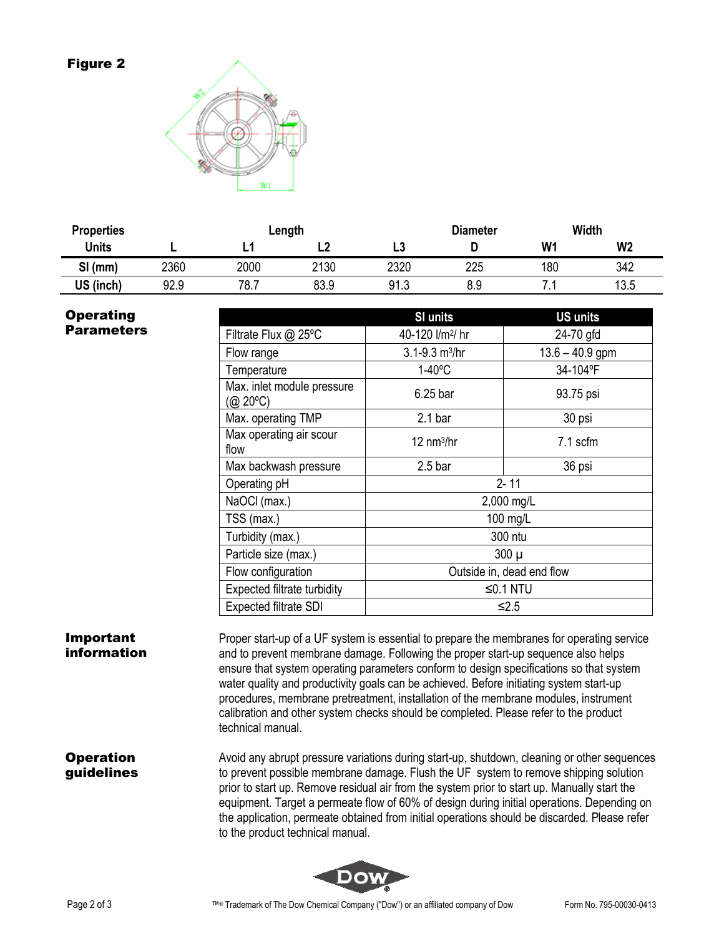### Figure 2



| <b>Properties</b> |      | Length |      |      | <b>Diameter</b> |                | <b>Width</b>   |  |
|-------------------|------|--------|------|------|-----------------|----------------|----------------|--|
| <b>Units</b>      |      |        | ∟∠   | L3   |                 | W <sub>1</sub> | W <sub>2</sub> |  |
| $SI$ (mm)         | 2360 | 2000   | 2130 | 2320 | 225             | 180            | 342            |  |
| US (inch)         | 92.9 | 78.,   | 83.9 | 91.3 | 8.9             |                | 13.5           |  |

# **Operating Parameters**

|                                        | <b>SI units</b>                | <b>US units</b>   |  |  |  |
|----------------------------------------|--------------------------------|-------------------|--|--|--|
| Filtrate Flux @ 25°C                   | 40-120 l/m <sup>2</sup> / hr   | 24-70 gfd         |  |  |  |
| Flow range                             | $3.1 - 9.3$ m <sup>3</sup> /hr | $13.6 - 40.9$ gpm |  |  |  |
| Temperature                            | $1-40$ °C                      | 34-104°F          |  |  |  |
| Max. inlet module pressure<br>(@ 20°C) | 6.25 bar                       | 93.75 psi         |  |  |  |
| Max. operating TMP                     | 2.1 <sub>bar</sub>             | 30 psi            |  |  |  |
| Max operating air scour<br>flow        | $12 \text{ nm}^3/\text{hr}$    | 7.1 scfm          |  |  |  |
| Max backwash pressure                  | 2.5 <sub>bar</sub>             | 36 psi            |  |  |  |
| Operating pH                           | $2 - 11$                       |                   |  |  |  |
| NaOCI (max.)                           | 2,000 mg/L                     |                   |  |  |  |
| TSS (max.)                             | 100 mg/L                       |                   |  |  |  |
| Turbidity (max.)                       | 300 ntu                        |                   |  |  |  |
| Particle size (max.)                   | $300 \mu$                      |                   |  |  |  |
| Flow configuration                     | Outside in, dead end flow      |                   |  |  |  |
| Expected filtrate turbidity            | ≤0.1 NTU                       |                   |  |  |  |
| <b>Expected filtrate SDI</b>           | $≤2.5$                         |                   |  |  |  |

### Important information

Proper start-up of a UF system is essential to prepare the membranes for operating service and to prevent membrane damage. Following the proper start-up sequence also helps ensure that system operating parameters conform to design specifications so that system water quality and productivity goals can be achieved. Before initiating system start-up procedures, membrane pretreatment, installation of the membrane modules, instrument calibration and other system checks should be completed. Please refer to the product technical manual.

### **Operation** guidelines

Avoid any abrupt pressure variations during start-up, shutdown, cleaning or other sequences to prevent possible membrane damage. Flush the UF system to remove shipping solution prior to start up. Remove residual air from the system prior to start up. Manually start the equipment. Target a permeate flow of 60% of design during initial operations. Depending on the application, permeate obtained from initial operations should be discarded. Please refer to the product technical manual.